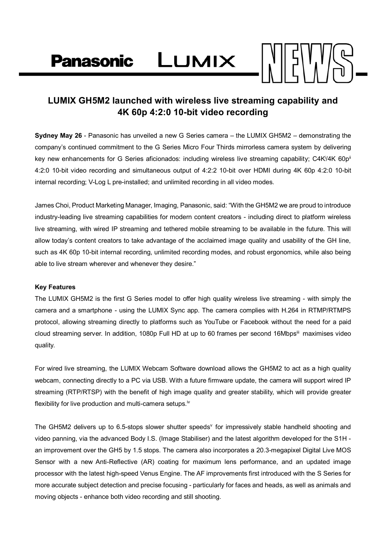Panasonic LUMIX

### **LUMIX GH5M2 launched with wireless live streaming capability and 4K 60p 4:2:0 10-bit video recording**

**Sydney May 26** - Panasonic has unveiled a new G Series camera – the LUMIX GH5M2 – demonstrating the company's continued commitment to the G Series Micro Four Thirds mirrorless camera system by delivering key new enhancements for G Series aficionados: including wireless live streaming capability; C4K<sup>i</sup>/4K 60p<sup>ii</sup> 4:2:0 10-bit video recording and simultaneous output of 4:2:2 10-bit over HDMI during 4K 60p 4:2:0 10-bit internal recording; V-Log L pre-installed; and unlimited recording in all video modes.

James Choi, Product Marketing Manager, Imaging, Panasonic, said: "With the GH5M2 we are proud to introduce industry-leading live streaming capabilities for modern content creators - including direct to platform wireless live streaming, with wired IP streaming and tethered mobile streaming to be available in the future. This will allow today's content creators to take advantage of the acclaimed image quality and usability of the GH line, such as 4K 60p 10-bit internal recording, unlimited recording modes, and robust ergonomics, while also being able to live stream wherever and whenever they desire."

#### **Key Features**

The LUMIX GH5M2 is the first G Series model to offer high quality wireless live streaming - with simply the camera and a smartphone - using the LUMIX Sync app. The camera complies with H.264 in RTMP/RTMPS protocol, allowing streaming directly to platforms such as YouTube or Facebook without the need for a paid cloud streaming server. In addition, 1080p Full HD at up to 60 frames per second 16Mbpsii maximises video quality.

For wired live streaming, the LUMIX Webcam Software download allows the GH5M2 to act as a high quality webcam, connecting directly to a PC via USB. With a future firmware update, the camera will support wired IP streaming (RTP/RTSP) with the benefit of high image quality and greater stability, which will provide greater flexibility for live production and multi-camera setups.<sup>iv</sup>

The GH5M2 delivers up to 6.5-stops slower shutter speeds<sup>v</sup> for impressively stable handheld shooting and video panning, via the advanced Body I.S. (Image Stabiliser) and the latest algorithm developed for the S1H an improvement over the GH5 by 1.5 stops. The camera also incorporates a 20.3-megapixel Digital Live MOS Sensor with a new Anti-Reflective (AR) coating for maximum lens performance, and an updated image processor with the latest high-speed Venus Engine. The AF improvements first introduced with the S Series for more accurate subject detection and precise focusing - particularly for faces and heads, as well as animals and moving objects - enhance both video recording and still shooting.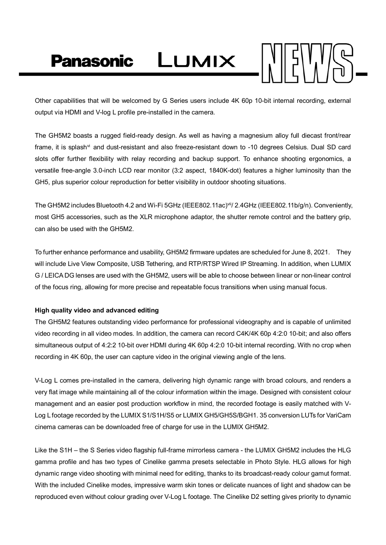Panasonic LUMIX



Other capabilities that will be welcomed by G Series users include 4K 60p 10-bit internal recording, external output via HDMI and V-log L profile pre-installed in the camera.

The GH5M2 boasts a rugged field-ready design. As well as having a magnesium alloy full diecast front/rear frame, it is splash<sup>yi</sup> and dust-resistant and also freeze-resistant down to -10 degrees Celsius. Dual SD card slots offer further flexibility with relay recording and backup support. To enhance shooting ergonomics, a versatile free-angle 3.0-inch LCD rear monitor (3:2 aspect, 1840K-dot) features a higher luminosity than the GH5, plus superior colour reproduction for better visibility in outdoor shooting situations.

The GH5M2 includes Bluetooth 4.2 and Wi-Fi 5GHz (IEEE802.11ac)vii/ 2.4GHz (IEEE802.11b/g/n). Conveniently, most GH5 accessories, such as the XLR microphone adaptor, the shutter remote control and the battery grip, can also be used with the GH5M2.

To further enhance performance and usability, GH5M2 firmware updates are scheduled for June 8, 2021. They will include Live View Composite, USB Tethering, and RTP/RTSP Wired IP Streaming. In addition, when LUMIX G / LEICA DG lenses are used with the GH5M2, users will be able to choose between linear or non-linear control of the focus ring, allowing for more precise and repeatable focus transitions when using manual focus.

### **High quality video and advanced editing**

The GH5M2 features outstanding video performance for professional videography and is capable of unlimited video recording in all video modes. In addition, the camera can record C4K/4K 60p 4:2:0 10-bit; and also offers simultaneous output of 4:2:2 10-bit over HDMI during 4K 60p 4:2:0 10-bit internal recording. With no crop when recording in 4K 60p, the user can capture video in the original viewing angle of the lens.

V-Log L comes pre-installed in the camera, delivering high dynamic range with broad colours, and renders a very flat image while maintaining all of the colour information within the image. Designed with consistent colour management and an easier post production workflow in mind, the recorded footage is easily matched with V-Log L footage recorded by the LUMIX S1/S1H/S5 or LUMIX GH5/GH5S/BGH1. 35 conversion LUTs for VariCam cinema cameras can be downloaded free of charge for use in the LUMIX GH5M2.

Like the S1H – the S Series video flagship full-frame mirrorless camera - the LUMIX GH5M2 includes the HLG gamma profile and has two types of Cinelike gamma presets selectable in Photo Style. HLG allows for high dynamic range video shooting with minimal need for editing, thanks to its broadcast-ready colour gamut format. With the included Cinelike modes, impressive warm skin tones or delicate nuances of light and shadow can be reproduced even without colour grading over V-Log L footage. The Cinelike D2 setting gives priority to dynamic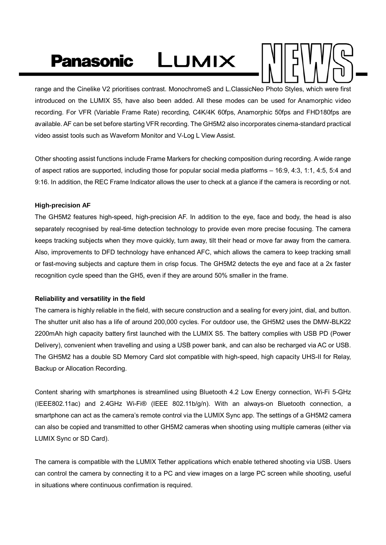# LUMIX **Panasonic**



range and the Cinelike V2 prioritises contrast. MonochromeS and L.ClassicNeo Photo Styles, which were first introduced on the LUMIX S5, have also been added. All these modes can be used for Anamorphic video recording. For VFR (Variable Frame Rate) recording, C4K/4K 60fps, Anamorphic 50fps and FHD180fps are available. AF can be set before starting VFR recording. The GH5M2 also incorporates cinema-standard practical video assist tools such as Waveform Monitor and V-Log L View Assist.

Other shooting assist functions include Frame Markers for checking composition during recording. A wide range of aspect ratios are supported, including those for popular social media platforms – 16:9, 4:3, 1:1, 4:5, 5:4 and 9:16. In addition, the REC Frame Indicator allows the user to check at a glance if the camera is recording or not.

### **High-precision AF**

The GH5M2 features high-speed, high-precision AF. In addition to the eye, face and body, the head is also separately recognised by real-time detection technology to provide even more precise focusing. The camera keeps tracking subjects when they move quickly, turn away, tilt their head or move far away from the camera. Also, improvements to DFD technology have enhanced AFC, which allows the camera to keep tracking small or fast-moving subjects and capture them in crisp focus. The GH5M2 detects the eye and face at a 2x faster recognition cycle speed than the GH5, even if they are around 50% smaller in the frame.

### **Reliability and versatility in the field**

The camera is highly reliable in the field, with secure construction and a sealing for every joint, dial, and button. The shutter unit also has a life of around 200,000 cycles. For outdoor use, the GH5M2 uses the DMW-BLK22 2200mAh high capacity battery first launched with the LUMIX S5. The battery complies with USB PD (Power Delivery), convenient when travelling and using a USB power bank, and can also be recharged via AC or USB. The GH5M2 has a double SD Memory Card slot compatible with high-speed, high capacity UHS-II for Relay, Backup or Allocation Recording.

Content sharing with smartphones is streamlined using Bluetooth 4.2 Low Energy connection, Wi-Fi 5-GHz (IEEE802.11ac) and 2.4GHz Wi-Fi® (IEEE 802.11b/g/n). With an always-on Bluetooth connection, a smartphone can act as the camera's remote control via the LUMIX Sync app. The settings of a GH5M2 camera can also be copied and transmitted to other GH5M2 cameras when shooting using multiple cameras (either via LUMIX Sync or SD Card).

The camera is compatible with the LUMIX Tether applications which enable tethered shooting via USB. Users can control the camera by connecting it to a PC and view images on a large PC screen while shooting, useful in situations where continuous confirmation is required.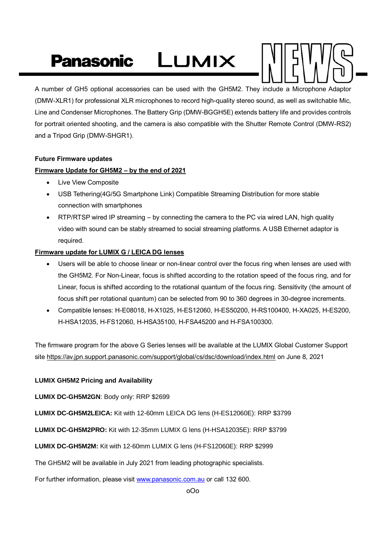# LUMIX **Panasonic**



A number of GH5 optional accessories can be used with the GH5M2. They include a Microphone Adaptor (DMW-XLR1) for professional XLR microphones to record high-quality stereo sound, as well as switchable Mic, Line and Condenser Microphones. The Battery Grip (DMW-BGGH5E) extends battery life and provides controls for portrait oriented shooting, and the camera is also compatible with the Shutter Remote Control (DMW-RS2) and a Tripod Grip (DMW-SHGR1).

### **Future Firmware updates**

### **Firmware Update for GH5M2 – by the end of 2021**

- Live View Composite
- USB Tethering(4G/5G Smartphone Link) Compatible Streaming Distribution for more stable connection with smartphones
- RTP/RTSP wired IP streaming by connecting the camera to the PC via wired LAN, high quality video with sound can be stably streamed to social streaming platforms. A USB Ethernet adaptor is required.

### **Firmware update for LUMIX G / LEICA DG lenses**

- Users will be able to choose linear or non-linear control over the focus ring when lenses are used with the GH5M2. For Non-Linear, focus is shifted according to the rotation speed of the focus ring, and for Linear, focus is shifted according to the rotational quantum of the focus ring. Sensitivity (the amount of focus shift per rotational quantum) can be selected from 90 to 360 degrees in 30-degree increments.
- Compatible lenses: H-E08018, H-X1025, H-ES12060, H-ES50200, H-RS100400, H-XA025, H-ES200, H-HSA12035, H-FS12060, H-HSA35100, H-FSA45200 and H-FSA100300.

The firmware program for the above G Series lenses will be available at the LUMIX Global Customer Support site https://av.jpn.support.panasonic.com/support/global/cs/dsc/download/index.html on June 8, 2021

### **LUMIX GH5M2 Pricing and Availability**

**LUMIX DC-GH5M2GN**: Body only: RRP \$2699

**LUMIX DC-GH5M2LEICA:** Kit with 12-60mm LEICA DG lens (H-ES12060E): RRP \$3799

**LUMIX DC-GH5M2PRO:** Kit with 12-35mm LUMIX G lens (H-HSA12035E): RRP \$3799

**LUMIX DC-GH5M2M:** Kit with 12-60mm LUMIX G lens (H-FS12060E): RRP \$2999

The GH5M2 will be available in July 2021 from leading photographic specialists.

For further information, please visit [www.panasonic.com.au](http://www.panasonic.com.au/) or call 132 600.